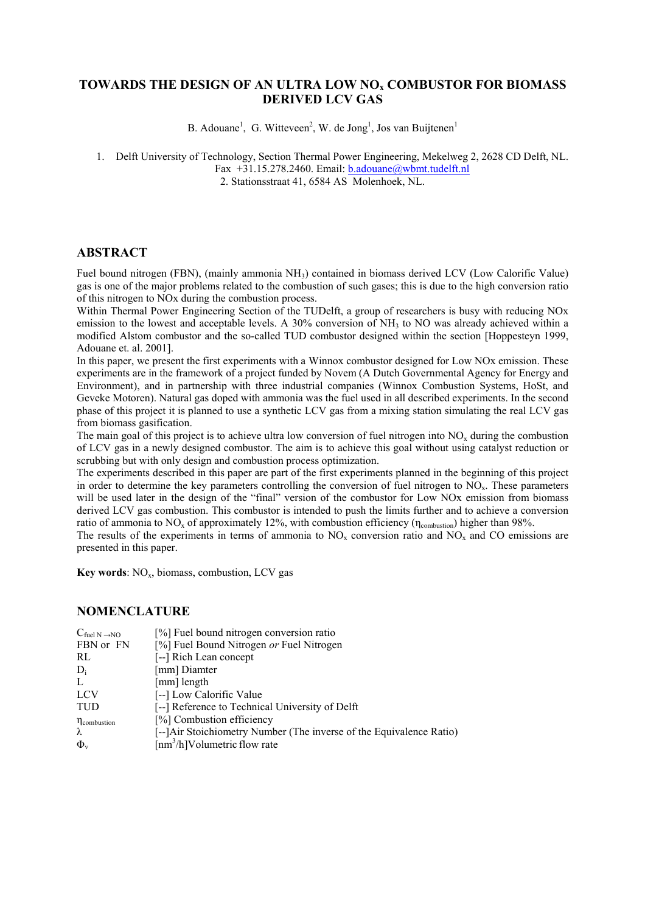# **TOWARDS THE DESIGN OF AN ULTRA LOW NOx COMBUSTOR FOR BIOMASS DERIVED LCV GAS**

B. Adouane<sup>1</sup>, G. Witteveen<sup>2</sup>, W. de Jong<sup>1</sup>, Jos van Buijtenen<sup>1</sup>

1. Delft University of Technology, Section Thermal Power Engineering, Mekelweg 2, 2628 CD Delft, NL. Fax +31.15.278.2460. Email: [b.adouane@wbmt.tudelft.nl](mailto:b.adouane@wbmt.tudelft.nl)

2. Stationsstraat 41, 6584 AS Molenhoek, NL.

### **ABSTRACT**

Fuel bound nitrogen (FBN), (mainly ammonia NH3) contained in biomass derived LCV (Low Calorific Value) gas is one of the major problems related to the combustion of such gases; this is due to the high conversion ratio of this nitrogen to NOx during the combustion process.

Within Thermal Power Engineering Section of the TUDelft, a group of researchers is busy with reducing NOx emission to the lowest and acceptable levels. A 30% conversion of  $NH<sub>3</sub>$  to NO was already achieved within a modified Alstom combustor and the so-called TUD combustor designed within the section [Hoppesteyn 1999, Adouane et. al. 2001].

In this paper, we present the first experiments with a Winnox combustor designed for Low NOx emission. These experiments are in the framework of a project funded by Novem (A Dutch Governmental Agency for Energy and Environment), and in partnership with three industrial companies (Winnox Combustion Systems, HoSt, and Geveke Motoren). Natural gas doped with ammonia was the fuel used in all described experiments. In the second phase of this project it is planned to use a synthetic LCV gas from a mixing station simulating the real LCV gas from biomass gasification.

The main goal of this project is to achieve ultra low conversion of fuel nitrogen into  $NO<sub>x</sub>$  during the combustion of LCV gas in a newly designed combustor. The aim is to achieve this goal without using catalyst reduction or scrubbing but with only design and combustion process optimization.

The experiments described in this paper are part of the first experiments planned in the beginning of this project in order to determine the key parameters controlling the conversion of fuel nitrogen to NOx. These parameters will be used later in the design of the "final" version of the combustor for Low NOx emission from biomass derived LCV gas combustion. This combustor is intended to push the limits further and to achieve a conversion ratio of ammonia to  $NO_x$  of approximately 12%, with combustion efficiency ( $\eta_{\text{combustion}}$ ) higher than 98%.

The results of the experiments in terms of ammonia to NO<sub>x</sub> conversion ratio and NO<sub>x</sub> and CO emissions are presented in this paper.

**Key words**:  $NO<sub>x</sub>$ , biomass, combustion, LCV gas

#### **NOMENCLATURE**

| $C_{\text{fuel N}\rightarrow\text{NO}}$ | [%] Fuel bound nitrogen conversion ratio                            |
|-----------------------------------------|---------------------------------------------------------------------|
| FBN or FN                               | [%] Fuel Bound Nitrogen or Fuel Nitrogen                            |
| RL                                      | [--] Rich Lean concept                                              |
| $D_i$                                   | [mm] Diamter                                                        |
| L                                       | [mm] length                                                         |
| <b>LCV</b>                              | [--] Low Calorific Value                                            |
| <b>TUD</b>                              | [--] Reference to Technical University of Delft                     |
| n <sub>combustion</sub>                 | [%] Combustion efficiency                                           |
| λ                                       | [--]Air Stoichiometry Number (The inverse of the Equivalence Ratio) |
| $\Phi_{v}$                              | $\lceil nm^3/h \rceil$ Volumetric flow rate                         |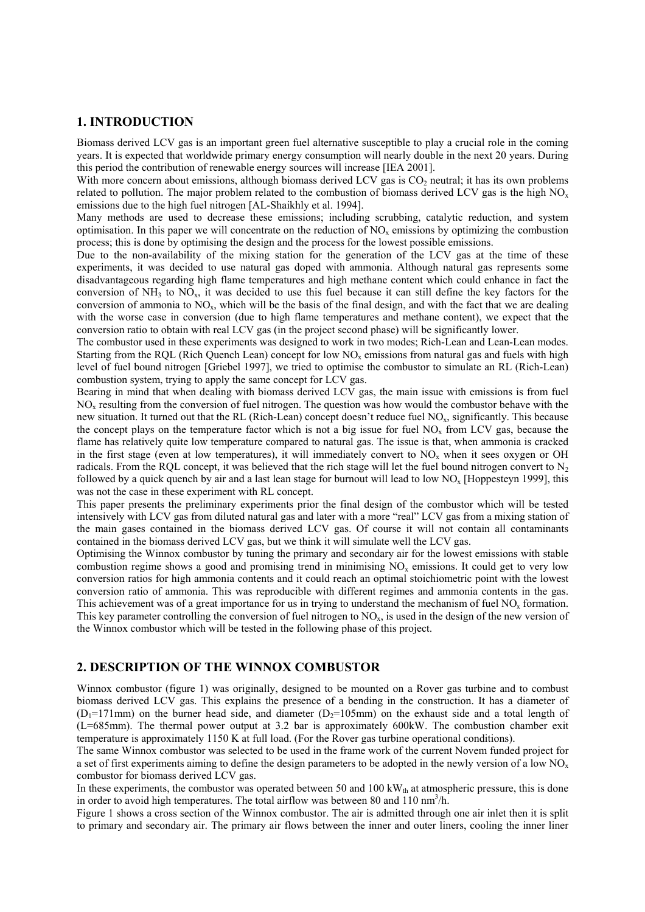### **1. INTRODUCTION**

Biomass derived LCV gas is an important green fuel alternative susceptible to play a crucial role in the coming years. It is expected that worldwide primary energy consumption will nearly double in the next 20 years. During this period the contribution of renewable energy sources will increase [IEA 2001].

With more concern about emissions, although biomass derived LCV gas is CO<sub>2</sub> neutral; it has its own problems related to pollution. The major problem related to the combustion of biomass derived LCV gas is the high  $NO<sub>x</sub>$ emissions due to the high fuel nitrogen [AL-Shaikhly et al. 1994].

Many methods are used to decrease these emissions; including scrubbing, catalytic reduction, and system optimisation. In this paper we will concentrate on the reduction of  $NO<sub>x</sub>$  emissions by optimizing the combustion process; this is done by optimising the design and the process for the lowest possible emissions.

Due to the non-availability of the mixing station for the generation of the LCV gas at the time of these experiments, it was decided to use natural gas doped with ammonia. Although natural gas represents some disadvantageous regarding high flame temperatures and high methane content which could enhance in fact the conversion of  $NH_3$  to  $NO_x$ , it was decided to use this fuel because it can still define the key factors for the conversion of ammonia to  $NO<sub>x</sub>$ , which will be the basis of the final design, and with the fact that we are dealing with the worse case in conversion (due to high flame temperatures and methane content), we expect that the conversion ratio to obtain with real LCV gas (in the project second phase) will be significantly lower.

The combustor used in these experiments was designed to work in two modes; Rich-Lean and Lean-Lean modes. Starting from the RQL (Rich Quench Lean) concept for low  $NO<sub>x</sub>$  emissions from natural gas and fuels with high level of fuel bound nitrogen [Griebel 1997], we tried to optimise the combustor to simulate an RL (Rich-Lean) combustion system, trying to apply the same concept for LCV gas.

Bearing in mind that when dealing with biomass derived LCV gas, the main issue with emissions is from fuel NOx resulting from the conversion of fuel nitrogen. The question was how would the combustor behave with the new situation. It turned out that the RL (Rich-Lean) concept doesn't reduce fuel NO<sub>x</sub>, significantly. This because the concept plays on the temperature factor which is not a big issue for fuel  $NO<sub>x</sub>$  from LCV gas, because the flame has relatively quite low temperature compared to natural gas. The issue is that, when ammonia is cracked in the first stage (even at low temperatures), it will immediately convert to  $NO<sub>x</sub>$  when it sees oxygen or OH radicals. From the RQL concept, it was believed that the rich stage will let the fuel bound nitrogen convert to  $N_2$ followed by a quick quench by air and a last lean stage for burnout will lead to low NO<sub>x</sub> [Hoppesteyn 1999], this was not the case in these experiment with RL concept.

This paper presents the preliminary experiments prior the final design of the combustor which will be tested intensively with LCV gas from diluted natural gas and later with a more "real" LCV gas from a mixing station of the main gases contained in the biomass derived LCV gas. Of course it will not contain all contaminants contained in the biomass derived LCV gas, but we think it will simulate well the LCV gas.

Optimising the Winnox combustor by tuning the primary and secondary air for the lowest emissions with stable combustion regime shows a good and promising trend in minimising NO<sub>x</sub> emissions. It could get to very low conversion ratios for high ammonia contents and it could reach an optimal stoichiometric point with the lowest conversion ratio of ammonia. This was reproducible with different regimes and ammonia contents in the gas. This achievement was of a great importance for us in trying to understand the mechanism of fuel  $NO<sub>x</sub>$  formation. This key parameter controlling the conversion of fuel nitrogen to  $NO<sub>x</sub>$ , is used in the design of the new version of the Winnox combustor which will be tested in the following phase of this project.

## **2. DESCRIPTION OF THE WINNOX COMBUSTOR**

Winnox combustor (figure 1) was originally, designed to be mounted on a Rover gas turbine and to combust biomass derived LCV gas. This explains the presence of a bending in the construction. It has a diameter of  $(D_1=171$ mm) on the burner head side, and diameter  $(D_2=105$ mm) on the exhaust side and a total length of (L=685mm). The thermal power output at 3.2 bar is approximately 600kW. The combustion chamber exit temperature is approximately 1150 K at full load. (For the Rover gas turbine operational conditions).

The same Winnox combustor was selected to be used in the frame work of the current Novem funded project for a set of first experiments aiming to define the design parameters to be adopted in the newly version of a low NO<sub>x</sub> combustor for biomass derived LCV gas.

In these experiments, the combustor was operated between 50 and 100 kW $_{th}$  at atmospheric pressure, this is done in order to avoid high temperatures. The total airflow was between 80 and 110 nm<sup>3</sup>/h.

Figure 1 shows a cross section of the Winnox combustor. The air is admitted through one air inlet then it is split to primary and secondary air. The primary air flows between the inner and outer liners, cooling the inner liner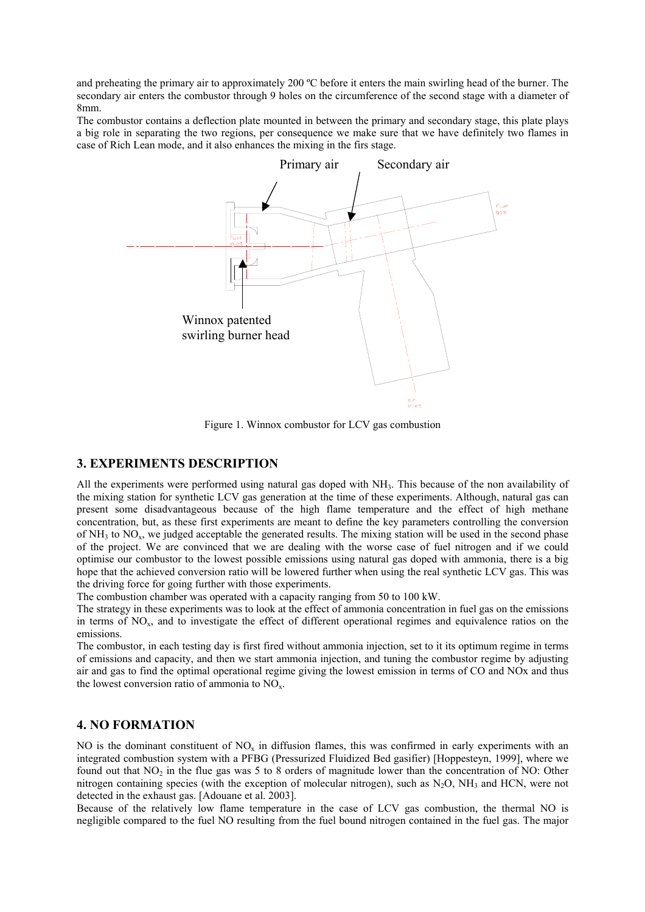and preheating the primary air to approximately 200 ºC before it enters the main swirling head of the burner. The secondary air enters the combustor through 9 holes on the circumference of the second stage with a diameter of 8mm.

The combustor contains a deflection plate mounted in between the primary and secondary stage, this plate plays a big role in separating the two regions, per consequence we make sure that we have definitely two flames in case of Rich Lean mode, and it also enhances the mixing in the firs stage.



Figure 1. Winnox combustor for LCV gas combustion

#### **3. EXPERIMENTS DESCRIPTION**

All the experiments were performed using natural gas doped with NH<sub>3</sub>. This because of the non availability of the mixing station for synthetic LCV gas generation at the time of these experiments. Although, natural gas can present some disadvantageous because of the high flame temperature and the effect of high methane concentration, but, as these first experiments are meant to define the key parameters controlling the conversion of  $NH<sub>3</sub>$  to  $NO<sub>x</sub>$ , we judged acceptable the generated results. The mixing station will be used in the second phase of the project. We are convinced that we are dealing with the worse case of fuel nitrogen and if we could optimise our combustor to the lowest possible emissions using natural gas doped with ammonia, there is a big hope that the achieved conversion ratio will be lowered further when using the real synthetic LCV gas. This was the driving force for going further with those experiments.

The combustion chamber was operated with a capacity ranging from 50 to 100 kW.

The strategy in these experiments was to look at the effect of ammonia concentration in fuel gas on the emissions in terms of NOx, and to investigate the effect of different operational regimes and equivalence ratios on the emissions.

The combustor, in each testing day is first fired without ammonia injection, set to it its optimum regime in terms of emissions and capacity, and then we start ammonia injection, and tuning the combustor regime by adjusting air and gas to find the optimal operational regime giving the lowest emission in terms of CO and NOx and thus the lowest conversion ratio of ammonia to  $NO<sub>x</sub>$ .

### **4. NO FORMATION**

NO is the dominant constituent of  $NO<sub>x</sub>$  in diffusion flames, this was confirmed in early experiments with an integrated combustion system with a PFBG (Pressurized Fluidized Bed gasifier) [Hoppesteyn, 1999], where we found out that  $NO<sub>2</sub>$  in the flue gas was 5 to 8 orders of magnitude lower than the concentration of NO: Other nitrogen containing species (with the exception of molecular nitrogen), such as  $N_2O$ , NH<sub>3</sub> and HCN, were not detected in the exhaust gas. [Adouane et al. 2003].

Because of the relatively low flame temperature in the case of LCV gas combustion, the thermal NO is negligible compared to the fuel NO resulting from the fuel bound nitrogen contained in the fuel gas. The major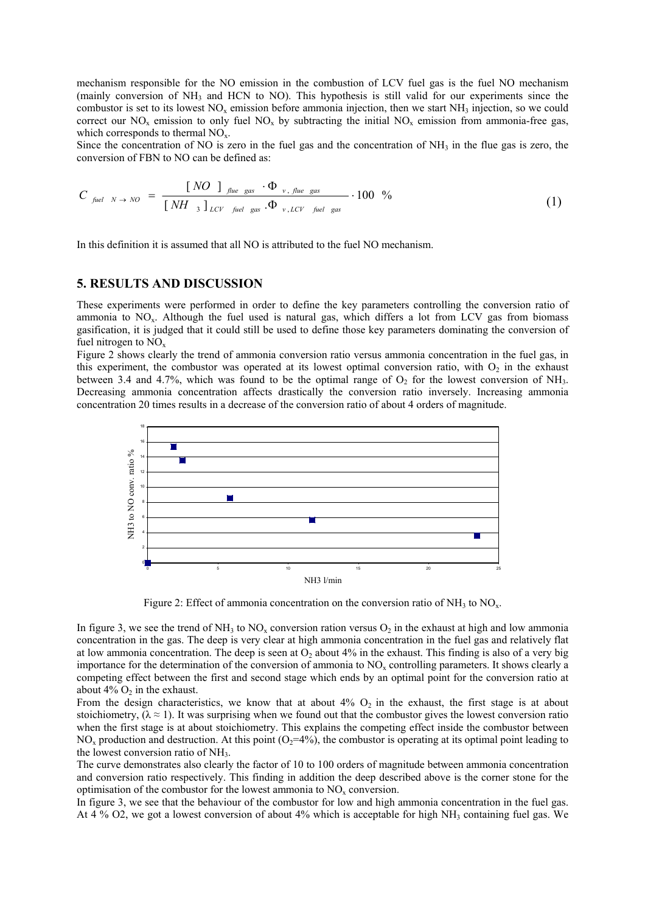mechanism responsible for the NO emission in the combustion of LCV fuel gas is the fuel NO mechanism (mainly conversion of NH3 and HCN to NO). This hypothesis is still valid for our experiments since the combustor is set to its lowest  $NO<sub>x</sub>$  emission before ammonia injection, then we start  $NH<sub>3</sub>$  injection, so we could correct our  $NO_x$  emission to only fuel  $NO_x$  by subtracting the initial  $NO_x$  emission from ammonia-free gas, which corresponds to thermal  $NO<sub>x</sub>$ .

Since the concentration of NO is zero in the fuel gas and the concentration of  $NH<sub>3</sub>$  in the flue gas is zero, the conversion of FBN to NO can be defined as:

$$
C_{\text{field }N \to NO} = \frac{[NO \text{ ]} \text{ J}_{\text{file gas}} \cdot \Phi_{\nu, \text{file gas}}}{[NH \text{ }_{3} \text{ }]_{\text{LCV}} \text{ }_{\text{field gas}} \cdot \Phi_{\nu, \text{LCV}} \text{ }_{\text{field gas}}} \cdot 100 \text{ %}
$$
 (1)

In this definition it is assumed that all NO is attributed to the fuel NO mechanism.

## **5. RESULTS AND DISCUSSION**

These experiments were performed in order to define the key parameters controlling the conversion ratio of ammonia to  $NO<sub>x</sub>$ . Although the fuel used is natural gas, which differs a lot from LCV gas from biomass gasification, it is judged that it could still be used to define those key parameters dominating the conversion of fuel nitrogen to  $NO<sub>x</sub>$ 

Figure 2 shows clearly the trend of ammonia conversion ratio versus ammonia concentration in the fuel gas, in this experiment, the combustor was operated at its lowest optimal conversion ratio, with  $O<sub>2</sub>$  in the exhaust between 3.4 and 4.7%, which was found to be the optimal range of  $O<sub>2</sub>$  for the lowest conversion of NH<sub>3</sub>. Decreasing ammonia concentration affects drastically the conversion ratio inversely. Increasing ammonia concentration 20 times results in a decrease of the conversion ratio of about 4 orders of magnitude.



Figure 2: Effect of ammonia concentration on the conversion ratio of  $NH_3$  to  $NO<sub>x</sub>$ .

In figure 3, we see the trend of NH<sub>3</sub> to NO<sub>x</sub> conversion ration versus  $O_2$  in the exhaust at high and low ammonia concentration in the gas. The deep is very clear at high ammonia concentration in the fuel gas and relatively flat at low ammonia concentration. The deep is seen at  $O_2$  about 4% in the exhaust. This finding is also of a very big importance for the determination of the conversion of ammonia to  $NO<sub>x</sub>$  controlling parameters. It shows clearly a competing effect between the first and second stage which ends by an optimal point for the conversion ratio at about  $4\%$  O<sub>2</sub> in the exhaust.

From the design characteristics, we know that at about  $4\%$  O<sub>2</sub> in the exhaust, the first stage is at about stoichiometry,  $(\lambda \approx 1)$ . It was surprising when we found out that the combustor gives the lowest conversion ratio when the first stage is at about stoichiometry. This explains the competing effect inside the combustor between  $NO<sub>x</sub>$  production and destruction. At this point  $(O<sub>2</sub>=4\%)$ , the combustor is operating at its optimal point leading to the lowest conversion ratio of NH<sub>3</sub>.

The curve demonstrates also clearly the factor of 10 to 100 orders of magnitude between ammonia concentration and conversion ratio respectively. This finding in addition the deep described above is the corner stone for the optimisation of the combustor for the lowest ammonia to  $NO<sub>x</sub>$  conversion.

In figure 3, we see that the behaviour of the combustor for low and high ammonia concentration in the fuel gas. At 4 % O2, we got a lowest conversion of about 4% which is acceptable for high NH<sub>3</sub> containing fuel gas. We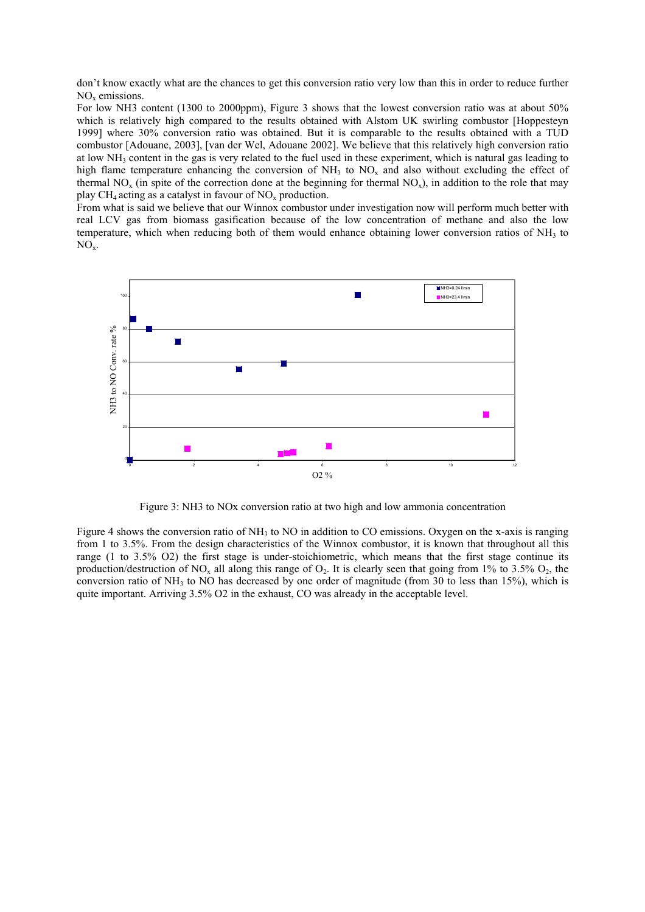don't know exactly what are the chances to get this conversion ratio very low than this in order to reduce further  $NO<sub>x</sub>$  emissions.

For low NH3 content (1300 to 2000ppm), Figure 3 shows that the lowest conversion ratio was at about 50% which is relatively high compared to the results obtained with Alstom UK swirling combustor [Hoppesteyn 1999] where 30% conversion ratio was obtained. But it is comparable to the results obtained with a TUD combustor [Adouane, 2003], [van der Wel, Adouane 2002]. We believe that this relatively high conversion ratio at low  $NH_3$  content in the gas is very related to the fuel used in these experiment, which is natural gas leading to high flame temperature enhancing the conversion of  $NH_3$  to  $NO_x$  and also without excluding the effect of thermal NO<sub>x</sub> (in spite of the correction done at the beginning for thermal NO<sub>x</sub>), in addition to the role that may play  $CH_4$  acting as a catalyst in favour of  $NO<sub>x</sub>$  production.

From what is said we believe that our Winnox combustor under investigation now will perform much better with real LCV gas from biomass gasification because of the low concentration of methane and also the low temperature, which when reducing both of them would enhance obtaining lower conversion ratios of  $NH<sub>3</sub>$  to  $NO_{x}$ .



Figure 3: NH3 to NOx conversion ratio at two high and low ammonia concentration

Figure 4 shows the conversion ratio of NH<sub>3</sub> to NO in addition to CO emissions. Oxygen on the x-axis is ranging from 1 to 3.5%. From the design characteristics of the Winnox combustor, it is known that throughout all this range (1 to 3.5% O2) the first stage is under-stoichiometric, which means that the first stage continue its production/destruction of NO<sub>x</sub> all along this range of O<sub>2</sub>. It is clearly seen that going from 1% to 3.5% O<sub>2</sub>, the conversion ratio of NH<sub>3</sub> to NO has decreased by one order of magnitude (from 30 to less than 15%), which is quite important. Arriving 3.5% O2 in the exhaust, CO was already in the acceptable level.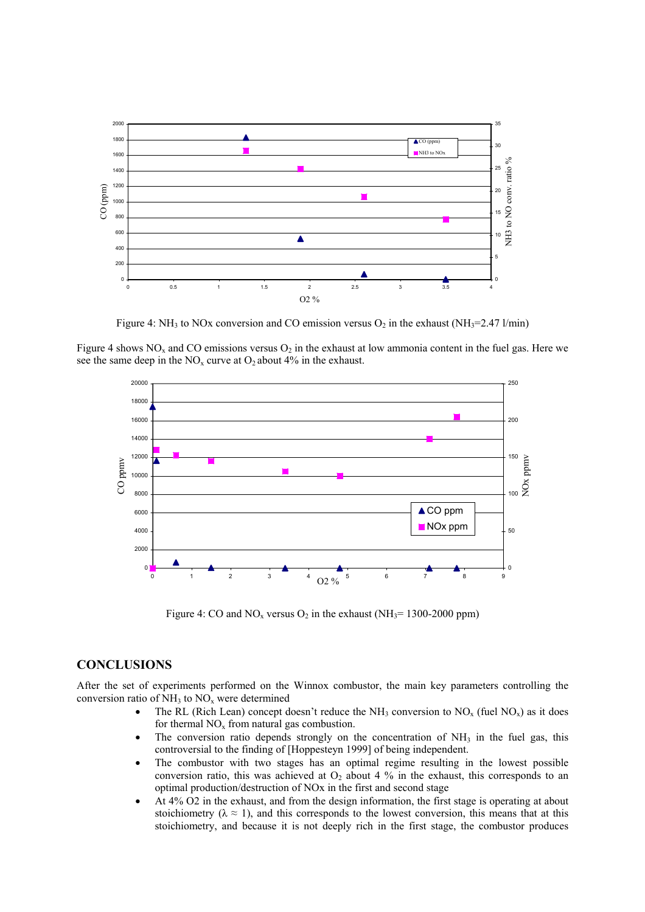

Figure 4: NH<sub>3</sub> to NOx conversion and CO emission versus  $O_2$  in the exhaust (NH<sub>3</sub>=2.47 l/min)

Figure 4 shows  $NO<sub>x</sub>$  and CO emissions versus  $O<sub>2</sub>$  in the exhaust at low ammonia content in the fuel gas. Here we see the same deep in the  $NO<sub>x</sub>$  curve at  $O<sub>2</sub>$  about 4% in the exhaust.



Figure 4: CO and NO<sub>x</sub> versus O<sub>2</sub> in the exhaust (NH<sub>3</sub>= 1300-2000 ppm)

# **CONCLUSIONS**

After the set of experiments performed on the Winnox combustor, the main key parameters controlling the conversion ratio of  $NH<sub>3</sub>$  to  $NO<sub>x</sub>$  were determined

- The RL (Rich Lean) concept doesn't reduce the NH<sub>3</sub> conversion to NO<sub>x</sub> (fuel NO<sub>x</sub>) as it does for thermal  $NO<sub>x</sub>$  from natural gas combustion.
- The conversion ratio depends strongly on the concentration of NH<sub>3</sub> in the fuel gas, this controversial to the finding of [Hoppesteyn 1999] of being independent.
- The combustor with two stages has an optimal regime resulting in the lowest possible conversion ratio, this was achieved at  $O_2$  about 4 % in the exhaust, this corresponds to an optimal production/destruction of NOx in the first and second stage
- At 4% O2 in the exhaust, and from the design information, the first stage is operating at about stoichiometry ( $\lambda \approx 1$ ), and this corresponds to the lowest conversion, this means that at this stoichiometry, and because it is not deeply rich in the first stage, the combustor produces